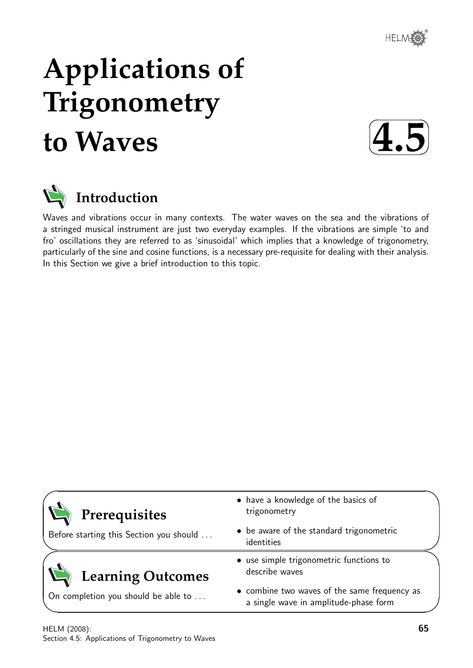

# **Applications of Trigonometry to Waves**





# **Introduction**

Waves and vibrations occur in many contexts. The water waves on the sea and the vibrations of a stringed musical instrument are just two everyday examples. If the vibrations are simple 'to and fro' oscillations they are referred to as 'sinusoidal' which implies that a knowledge of trigonometry, particularly of the sine and cosine functions, is a necessary pre-requisite for dealing with their analysis. In this Section we give a brief introduction to this topic.

| Prerequisites<br>Before starting this Section you should | • have a knowledge of the basics of<br>trigonometry<br>• be aware of the standard trigonometric |
|----------------------------------------------------------|-------------------------------------------------------------------------------------------------|
|                                                          | identities<br>• use simple trigonometric functions to                                           |
| <b>Learning Outcomes</b>                                 | describe waves                                                                                  |
| On completion you should be able to                      | • combine two waves of the same frequency as<br>a single wave in amplitude-phase form           |

✧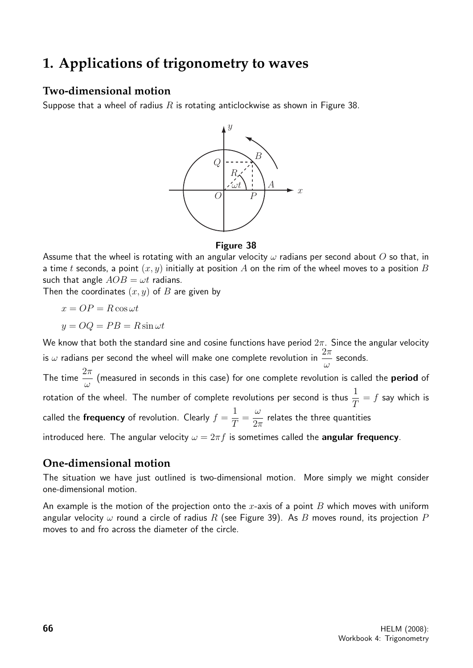# **1. Applications of trigonometry to waves**

# **Two-dimensional motion**

Suppose that a wheel of radius  $R$  is rotating anticlockwise as shown in Figure 38.



#### Figure 38

Assume that the wheel is rotating with an angular velocity  $\omega$  radians per second about O so that, in a time t seconds, a point  $(x, y)$  initially at position A on the rim of the wheel moves to a position B such that angle  $AOB = \omega t$  radians.

Then the coordinates  $(x, y)$  of B are given by

$$
x = OP = R\cos\omega t
$$

$$
y = OQ = PB = R\sin\omega t
$$

We know that both the standard sine and cosine functions have period  $2\pi$ . Since the angular velocity is  $\omega$  radians per second the wheel will make one complete revolution in  $\frac{2\pi}{\omega}$ ω seconds.

The time  $\frac{2\pi}{2}$ ω (measured in seconds in this case) for one complete revolution is called the **period** of rotation of the wheel. The number of complete revolutions per second is thus  $\frac{1}{7}$ T  $= f$  say which is called the **frequency** of revolution. Clearly  $f =$ 1 T = ω  $2\pi$ relates the three quantities

introduced here. The angular velocity  $\omega = 2\pi f$  is sometimes called the angular frequency.

# **One-dimensional motion**

The situation we have just outlined is two-dimensional motion. More simply we might consider one-dimensional motion.

An example is the motion of the projection onto the x-axis of a point B which moves with uniform angular velocity  $\omega$  round a circle of radius R (see Figure 39). As B moves round, its projection P moves to and fro across the diameter of the circle.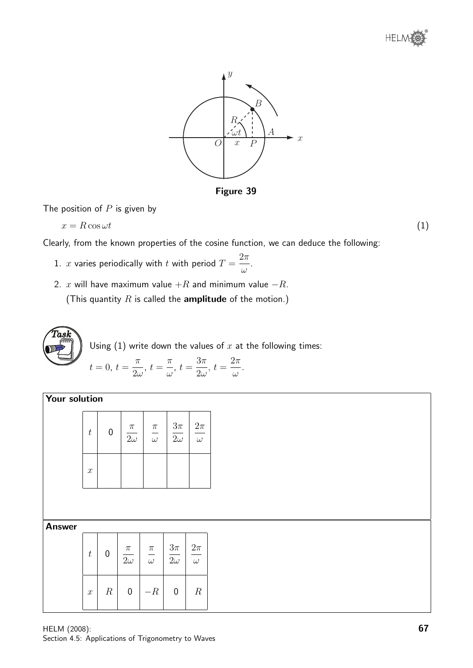



Figure 39

.

The position of  $P$  is given by

$$
x = R\cos\omega t\tag{1}
$$

Clearly, from the known properties of the cosine function, we can deduce the following:

- 1. x varies periodically with t with period  $T =$  $2\pi$ ω
- 2. x will have maximum value  $+R$  and minimum value  $-R$ .

(This quantity  $R$  is called the **amplitude** of the motion.)



Using  $(1)$  write down the values of  $x$  at the following times:

$$
t = 0, t = \frac{\pi}{2\omega}, t = \frac{\pi}{\omega}, t = \frac{3\pi}{2\omega}, t = \frac{2\pi}{\omega}.
$$

Your solution

| $\boldsymbol{t}$ | $\mathbf 0$ | $\pi$<br>$\overline{2\omega}$ | $\frac{\pi}{\omega}$ | $\frac{3\pi}{2\omega}$ | $2\pi$<br>$\omega$ |
|------------------|-------------|-------------------------------|----------------------|------------------------|--------------------|
| $\boldsymbol{x}$ |             |                               |                      |                        |                    |
|                  |             |                               |                      |                        |                    |

Answer

| $t\,$            | 0                | $\frac{\pi}{2\omega}$ | $\frac{\pi}{\omega}$ | $\frac{3\pi}{2\omega}$ | $\frac{2\pi}{\omega}$ |
|------------------|------------------|-----------------------|----------------------|------------------------|-----------------------|
| $\boldsymbol{x}$ | $\boldsymbol{R}$ | 0                     | $-R$                 | 0                      | $\boldsymbol{R}$      |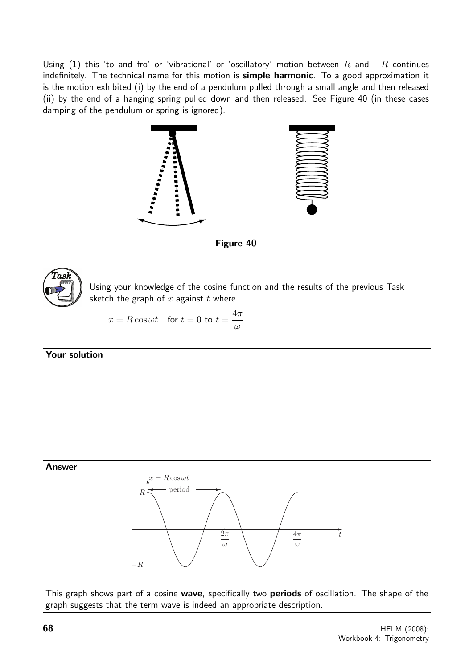Using (1) this 'to and fro' or 'vibrational' or 'oscillatory' motion between R and  $-R$  continues indefinitely. The technical name for this motion is simple harmonic. To a good approximation it is the motion exhibited (i) by the end of a pendulum pulled through a small angle and then released (ii) by the end of a hanging spring pulled down and then released. See Figure 40 (in these cases damping of the pendulum or spring is ignored).



Figure 40



Using your knowledge of the cosine function and the results of the previous Task sketch the graph of  $x$  against  $t$  where

$$
x = R\cos\omega t \quad \text{for } t = 0 \text{ to } t = \frac{4\pi}{\omega}
$$

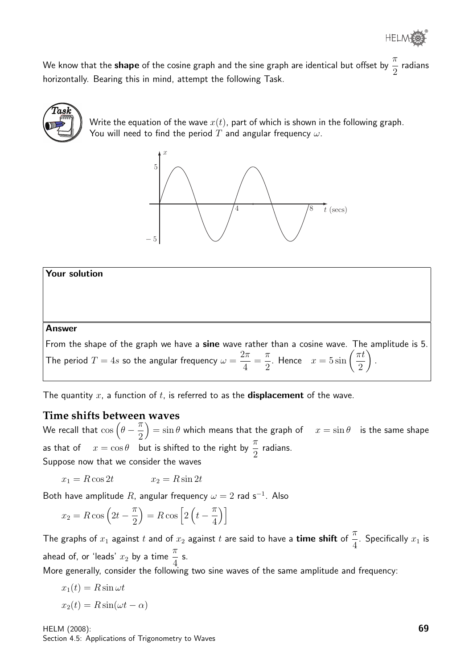We know that the **shape** of the cosine graph and the sine graph are identical but offset by  $\frac{\pi}{\alpha}$ 2 radians horizontally. Bearing this in mind, attempt the following Task.



Write the equation of the wave  $x(t)$ , part of which is shown in the following graph. You will need to find the period  $T$  and angular frequency  $\omega$ .



Your solution

#### Answer

From the shape of the graph we have a sine wave rather than a cosine wave. The amplitude is 5. The period  $T=4s$  so the angular frequency  $\omega=$  $2\pi$ 4 =  $\pi$ 2 . Hence  $x = 5 \sin \left( \frac{\pi t}{2} \right)$ 2  $\setminus$ .

The quantity  $x$ , a function of  $t$ , is referred to as the **displacement** of the wave.

# **Time shifts between waves**

We recall that  $\cos \left(\theta - \frac{\pi}{2}\right)$ 2  $\hat{y}=\sin\theta$  which means that the graph of  $x=\sin\theta$  is the same shape as that of  $x = \cos \theta$  but is shifted to the right by  $\frac{\pi}{2}$ 2 radians. Suppose now that we consider the waves

 $x_1 = R \cos 2t$   $x_2 = R \sin 2t$ 

Both have amplitude R, angular frequency  $\omega = 2$  rad s<sup>-1</sup>. Also

$$
x_2 = R\cos\left(2t - \frac{\pi}{2}\right) = R\cos\left[2\left(t - \frac{\pi}{4}\right)\right]
$$

The graphs of  $x_1$  against  $t$  and of  $x_2$  against  $t$  are said to have a time shift of  $\frac{\pi}{4}$ . Specifically  $x_1$  is ahead of, or 'leads'  $x_2$  by a time  $\frac{\pi}{4}$ s.

More generally, consider the following two sine waves of the same amplitude and frequency:

$$
x_1(t) = R\sin\omega t
$$
  

$$
x_2(t) = R\sin(\omega t - \alpha)
$$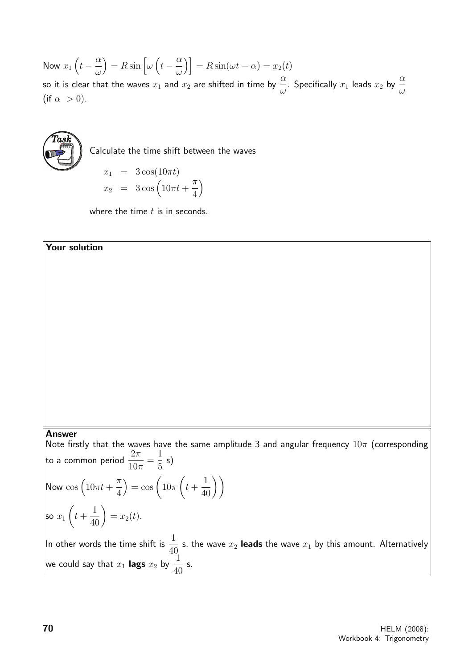Now  $x_1\left(t-\frac{\alpha}{\alpha}\right)$ ω  $= R \sin \left[\omega \left(t - \frac{\alpha}{2}\right)\right]$  $\left[\frac{\alpha}{\omega}\right]$  = R sin( $\omega t - \alpha$ ) =  $x_2(t)$ so it is clear that the waves  $x_1$  and  $x_2$  are shifted in time by  $\frac{\alpha}{\omega}$ . Specifically  $x_1$  leads  $x_2$  by  $\frac{\alpha}{\omega}$ (if  $\alpha > 0$ ).



Calculate the time shift between the waves

$$
x_1 = 3\cos(10\pi t)
$$
  

$$
x_2 = 3\cos(10\pi t + \frac{\pi}{4})
$$

where the time  $t$  is in seconds.

#### Your solution

#### Answer

Note firstly that the waves have the same amplitude 3 and angular frequency  $10\pi$  (corresponding to a common period  $\frac{2\pi}{10}$  $10\pi$ = 1 5 s) Now  $\cos\left(10\pi t + \right)$  $\pi$ 4  $= \cos \left( 10 \pi \right)$  $\sqrt{ }$  $t +$  $\left(\frac{1}{40}\right)$ so  $x_1$  $\sqrt{ }$  $t +$  $rac{1}{40}$  =  $x_2(t)$ . In other words the time shift is  $\frac{1}{4}$  $\frac{1}{40}$  s, the wave  $x_2$  **leads** the wave  $x_1$  by this amount. Alternatively we could say that  $x_1$  lags  $x_2$  by  $\frac{1}{40}$ s.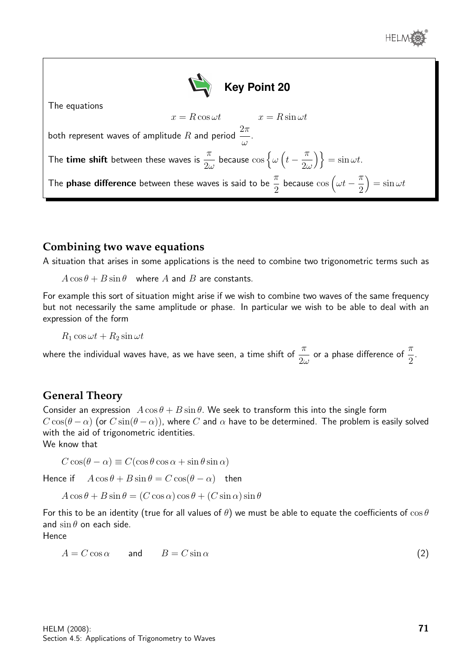



### **Combining two wave equations**

A situation that arises in some applications is the need to combine two trigonometric terms such as

 $A\cos\theta + B\sin\theta$  where A and B are constants.

For example this sort of situation might arise if we wish to combine two waves of the same frequency but not necessarily the same amplitude or phase. In particular we wish to be able to deal with an expression of the form

 $R_1 \cos \omega t + R_2 \sin \omega t$ 

where the individual waves have, as we have seen, a time shift of  $\frac{\pi}{2}$  $2\omega$ or a phase difference of  $\frac{\pi}{6}$ 2 .

# **General Theory**

Consider an expression  $A\cos\theta + B\sin\theta$ . We seek to transform this into the single form  $C \cos(\theta - \alpha)$  (or  $C \sin(\theta - \alpha)$ ), where C and  $\alpha$  have to be determined. The problem is easily solved with the aid of trigonometric identities.

We know that

 $C \cos(\theta - \alpha) \equiv C(\cos \theta \cos \alpha + \sin \theta \sin \alpha)$ 

Hence if  $A\cos\theta + B\sin\theta = C\cos(\theta - \alpha)$  then

 $A\cos\theta + B\sin\theta = (C\cos\alpha)\cos\theta + (C\sin\alpha)\sin\theta$ 

For this to be an identity (true for all values of  $\theta$ ) we must be able to equate the coefficients of  $\cos \theta$ and  $\sin \theta$  on each side.

Hence

$$
A = C \cos \alpha \qquad \text{and} \qquad B = C \sin \alpha \tag{2}
$$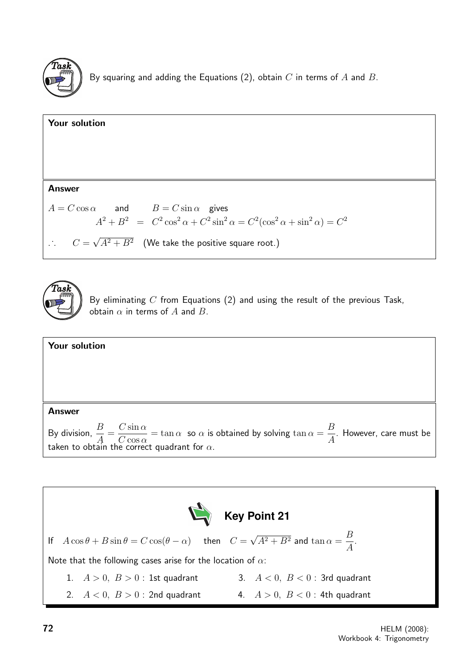

By squaring and adding the Equations (2), obtain  $C$  in terms of  $A$  and  $B$ .





By eliminating  $C$  from Equations (2) and using the result of the previous Task, obtain  $\alpha$  in terms of A and B.

#### Answer

By division,  $\frac{B}{4}$ A =  $C \sin \alpha$  $C \cos \alpha$  $=$  tan  $\alpha$  so  $\alpha$  is obtained by solving tan  $\alpha =$ B A . However, care must be taken to obtain the correct quadrant for  $\alpha$ .

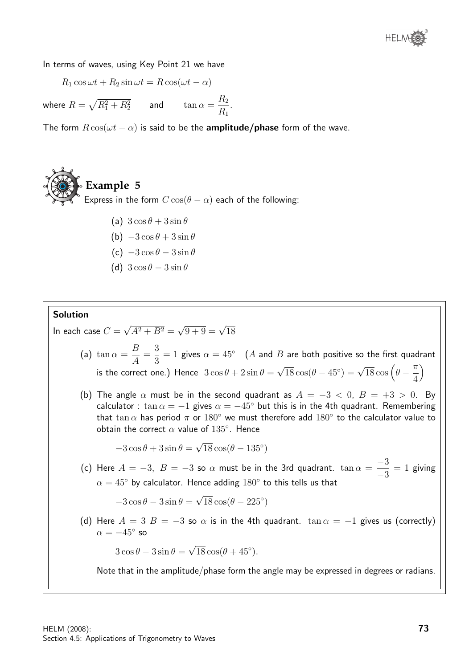

In terms of waves, using Key Point 21 we have

 $R_1 \cos \omega t + R_2 \sin \omega t = R \cos(\omega t - \alpha)$ 

where  $R=\sqrt{R_{1}^{2}+R_{2}^{2}}$  and  $\tan\alpha=\frac{R_{2}}{R_{2}}$  $R_1$ .

The form  $R \cos(\omega t - \alpha)$  is said to be the **amplitude/phase** form of the wave.



- (b)  $-3\cos\theta + 3\sin\theta$
- (c)  $-3\cos\theta 3\sin\theta$
- (d)  $3 \cos \theta 3 \sin \theta$

#### Solution

In each case  $C=$ √  $A^2 + B^2 =$  $\sqrt{9+9} = \sqrt{18}$ 

- (a) tan  $\alpha =$ B A = 3 3  $= 1$  gives  $\alpha = 45^{\circ}$  (A and B are both positive so the first quadrant is the correct one.) Hence  $3\cos\theta + 2\sin\theta =$ √  $\sqrt{18} \cos(\theta - 45^\circ) = \sqrt{18} \cos\left(\theta - \frac{\pi}{4}\right)$ 4  $\setminus$
- (b) The angle  $\alpha$  must be in the second quadrant as  $A = -3 < 0$ ,  $B = +3 > 0$ . By calculator :  $\tan \alpha = -1$  gives  $\alpha = -45^{\circ}$  but this is in the 4th quadrant. Remembering that  $\tan\alpha$  has period  $\pi$  or  $180^\circ$  we must therefore add  $180^\circ$  to the calculator value to obtain the correct  $\alpha$  value of  $135^\circ$ . Hence

 $-3\cos\theta + 3\sin\theta =$ √  $\overline{18} \cos(\theta - 135^\circ)$ 

(c) Here  $A = -3$ ,  $B = -3$  so  $\alpha$  must be in the 3rd quadrant.  $\tan \alpha =$ −3 −3  $= 1$  giving  $\alpha = 45^{\circ}$  by calculator. Hence adding  $180^{\circ}$  to this tells us that

> $-3\cos\theta - 3\sin\theta =$ √  $\overline{18} \cos(\theta - 225^\circ)$

(d) Here  $A = 3$   $B = -3$  so  $\alpha$  is in the 4th quadrant.  $\tan \alpha = -1$  gives us (correctly)  $\alpha=-45^{\circ}$  so

> $3\cos\theta - 3\sin\theta =$ √  $\overline{18} \cos(\theta + 45^\circ).$

Note that in the amplitude/phase form the angle may be expressed in degrees or radians.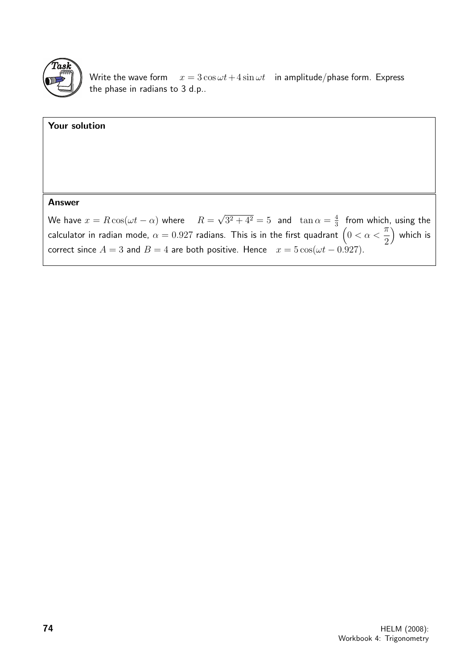

Write the wave form  $x = 3 \cos \omega t + 4 \sin \omega t$  in amplitude/phase form. Express the phase in radians to 3 d.p..

# Your solution Answer We have  $x = R \cos(\omega t - \alpha)$  where  $R =$ √  $\sqrt{3^2 + 4^2} = 5$  and  $\tan \alpha = \frac{4}{3}$  $rac{4}{3}$  from which, using the calculator in radian mode,  $\alpha=0.927$  radians. This is in the first quadrant  $\big(0<\alpha<$  $\pi$ which is

2 correct since  $A = 3$  and  $B = 4$  are both positive. Hence  $x = 5 \cos(\omega t - 0.927)$ .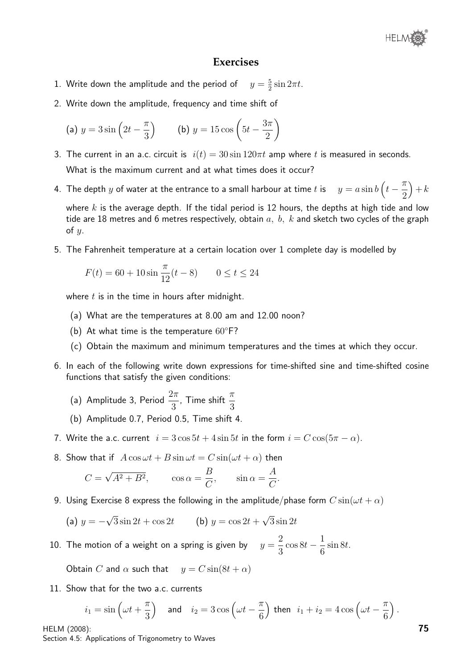

#### **Exercises**

- 1. Write down the amplitude and the period of 5  $rac{5}{2}\sin 2\pi t$ .
- 2. Write down the amplitude, frequency and time shift of

(a) 
$$
y = 3\sin\left(2t - \frac{\pi}{3}\right)
$$
 (b)  $y = 15\cos\left(5t - \frac{3\pi}{2}\right)$ 

- 3. The current in an a.c. circuit is  $i(t) = 30 \sin 120 \pi t$  amp where t is measured in seconds. What is the maximum current and at what times does it occur?
- 4. The depth  $y$  of water at the entrance to a small harbour at time  $t$  is  $\left(t-\frac{\pi}{2}\right)$ 2  $+k$

where  $k$  is the average depth. If the tidal period is 12 hours, the depths at high tide and low tide are 18 metres and 6 metres respectively, obtain  $a, b, k$  and sketch two cycles of the graph of  $y$ .

5. The Fahrenheit temperature at a certain location over 1 complete day is modelled by

$$
F(t) = 60 + 10\sin\frac{\pi}{12}(t - 8) \qquad 0 \le t \le 24
$$

where  $t$  is in the time in hours after midnight.

- (a) What are the temperatures at 8.00 am and 12.00 noon?
- (b) At what time is the temperature  $60^{\circ}$ F?
- (c) Obtain the maximum and minimum temperatures and the times at which they occur.
- 6. In each of the following write down expressions for time-shifted sine and time-shifted cosine functions that satisfy the given conditions:
	- (a) Amplitude 3, Period  $\frac{2\pi}{2}$ 3 , Time shift  $\frac{\pi}{2}$ 3
	- (b) Amplitude 0.7, Period 0.5, Time shift 4.
- 7. Write the a.c. current  $i = 3\cos 5t + 4\sin 5t$  in the form  $i = C\cos(5\pi \alpha)$ .
- 8. Show that if  $A\cos \omega t + B\sin \omega t = C\sin(\omega t + \alpha)$  then

$$
C = \sqrt{A^2 + B^2}
$$
,  $\cos \alpha = \frac{B}{C}$ ,  $\sin \alpha = \frac{A}{C}$ .

9. Using Exercise 8 express the following in the amplitude/phase form  $C \sin(\omega t + \alpha)$ 

(a) 
$$
y = -\sqrt{3} \sin 2t + \cos 2t
$$
   
 (b)  $y = \cos 2t + \sqrt{3} \sin 2t$ 

10. The motion of a weight on a spring is given by  $y =$ 2 3  $\cos 8t - \frac{1}{6}$ 6  $\sin 8t$ .

Obtain C and  $\alpha$  such that  $y = C \sin(8t + \alpha)$ 

11. Show that for the two a.c. currents

$$
i_1 = \sin\left(\omega t + \frac{\pi}{3}\right) \quad \text{and} \quad i_2 = 3\cos\left(\omega t - \frac{\pi}{6}\right) \text{ then } i_1 + i_2 = 4\cos\left(\omega t - \frac{\pi}{6}\right).
$$

HELM (2008): Section 4.5: Applications of Trigonometry to Waves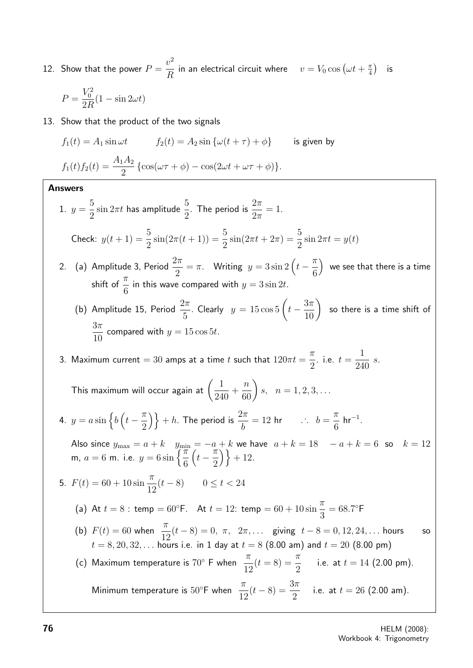12. Show that the power  $P =$  $v^2$  $\frac{v}{R}$  in an electrical circuit where  $v = V_0 \cos \left(\omega t + \frac{\pi}{4}\right)$  $\frac{\pi}{4}$ ) is

$$
P = \frac{V_0^2}{2R}(1 - \sin 2\omega t)
$$

13. Show that the product of the two signals

$$
f_1(t) = A_1 \sin \omega t \qquad f_2(t) = A_2 \sin \{ \omega (t + \tau) + \phi \} \qquad \text{is given by}
$$

$$
f_1(t) f_2(t) = \frac{A_1 A_2}{2} \{ \cos(\omega \tau + \phi) - \cos(2\omega t + \omega \tau + \phi) \}.
$$

#### Answers

1.  $y =$ 5 2  $\sin 2\pi t$  has amplitude  $\frac{5}{8}$ 2 . The period is  $\frac{2\pi}{2}$  $2\pi$  $= 1$ . Check:  $y(t + 1) = \frac{5}{2}$ 2  $\sin(2\pi(t+1)) = \frac{5}{2}$ 2  $\sin(2\pi t + 2\pi) = \frac{5}{5}$ 2  $\sin 2\pi t = y(t)$ 2. (a) Amplitude 3, Period  $\frac{2\pi}{2}$ 2  $=\pi$ . Writing  $y = 3\sin 2\left(t - \frac{\pi}{6}\right)$ 6 we see that there is a time shift of  $\frac{\pi}{c}$ 6 in this wave compared with  $y = 3 \sin 2t$ . (b) Amplitude 15, Period  $\frac{2\pi}{\epsilon}$ 5 . Clearly  $y = 15 \cos 5 \left( t - \frac{3\pi}{10} \right)$ so there is a time shift of  $3\pi$ 10 compared with  $y = 15 \cos 5t$ . 3. Maximum current  $= 30$  amps at a time t such that  $120\pi t =$  $\pi$ 2 . i.e.  $t =$ 1 240 s. This maximum will occur again at  $\left(\frac{1}{24}\right)$ 240  $+$  $\left(\frac{n}{60}\right)$  $s, \, n = 1, 2, 3, \ldots$ 4.  $y = a \sin \left\{ b \left( t - \frac{\pi}{2} \right) \right\}$ 2  $\{\} + h$ . The period is  $\frac{2\pi}{h}$ b  $= 12$  hr  $\therefore$   $b =$  $\pi$ 6  $hr^{-1}$ . Also since  $y_{\text{max}} = a + k$  y<sub>min</sub> =  $-a + k$  we have  $a + k = 18$   $a = + k = 6$  so  $k = 12$ m,  $a = 6$  m. i.e.  $y = 6 \sin \left\{\frac{\pi}{6}\right\}$ 6  $\left(t-\frac{\pi}{2}\right)$ 2  $\{\} + 12.$ 5.  $F(t) = 60 + 10 \sin \frac{\pi}{16}$ 12  $(t - 8)$  0 ≤ t < 24 (a) At  $t = 8$ : temp = 60°F. At  $t = 12$ : temp = 60 + 10 sin  $\frac{\pi}{2}$ 3  $= 68.7$ °F (b)  $F(t) = 60$  when  $\frac{\pi}{16}$ 12  $(t-8) = 0, \pi, 2\pi, \ldots$  giving  $t-8 = 0, 12, 24, \ldots$  hours so  $t = 8, 20, 32, ...$  hours i.e. in 1 day at  $t = 8$  (8.00 am) and  $t = 20$  (8.00 pm) (c) Maximum temperature is  $70^\circ$  F when  $\frac{\pi}{16}$ 12  $(t = 8) = \frac{\pi}{2}$ 2 i.e. at  $t = 14$  (2.00 pm). Minimum temperature is  $50^{\circ}$ F when  $\frac{\pi}{16}$ 12  $(t-8) = \frac{3\pi}{8}$ 2 i.e. at  $t = 26$  (2.00 am).